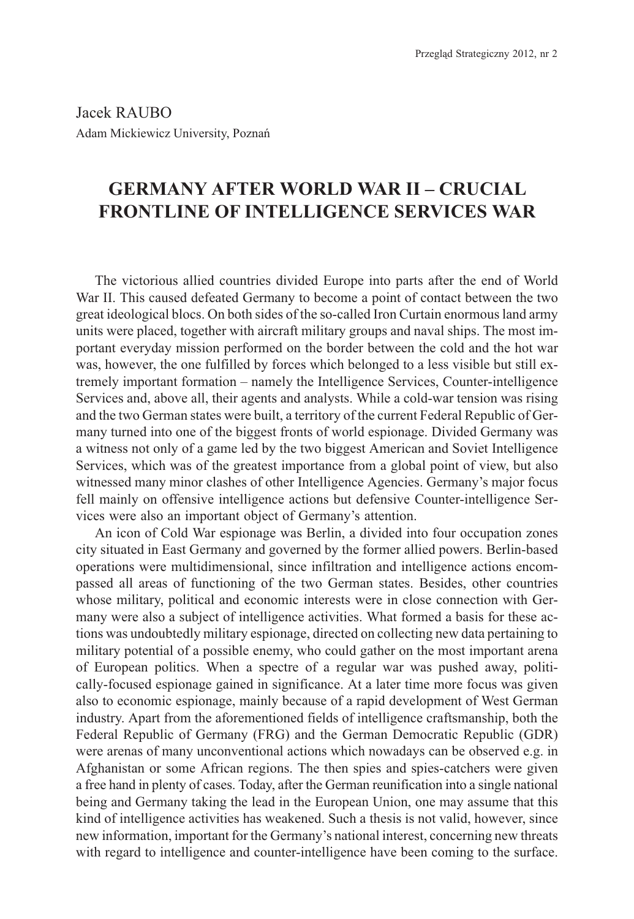Jacek RAUBO Adam Mickiewicz University, Poznañ

# **GERMANY AFTER WORLD WAR II – CRUCIAL FRONTLINE OF INTELLIGENCE SERVICES WAR**

The victorious allied countries divided Europe into parts after the end of World War II. This caused defeated Germany to become a point of contact between the two great ideological blocs. On both sides of the so-called Iron Curtain enormous land army units were placed, together with aircraft military groups and naval ships. The most important everyday mission performed on the border between the cold and the hot war was, however, the one fulfilled by forces which belonged to a less visible but still extremely important formation – namely the Intelligence Services, Counter-intelligence Services and, above all, their agents and analysts. While a cold-war tension was rising and the two German states were built, a territory of the current Federal Republic of Germany turned into one of the biggest fronts of world espionage. Divided Germany was a witness not only of a game led by the two biggest American and Soviet Intelligence Services, which was of the greatest importance from a global point of view, but also witnessed many minor clashes of other Intelligence Agencies. Germany's major focus fell mainly on offensive intelligence actions but defensive Counter-intelligence Services were also an important object of Germany's attention.

An icon of Cold War espionage was Berlin, a divided into four occupation zones city situated in East Germany and governed by the former allied powers. Berlin-based operations were multidimensional, since infiltration and intelligence actions encompassed all areas of functioning of the two German states. Besides, other countries whose military, political and economic interests were in close connection with Germany were also a subject of intelligence activities. What formed a basis for these actions was undoubtedly military espionage, directed on collecting new data pertaining to military potential of a possible enemy, who could gather on the most important arena of European politics. When a spectre of a regular war was pushed away, politically-focused espionage gained in significance. At a later time more focus was given also to economic espionage, mainly because of a rapid development of West German industry. Apart from the aforementioned fields of intelligence craftsmanship, both the Federal Republic of Germany (FRG) and the German Democratic Republic (GDR) were arenas of many unconventional actions which nowadays can be observed e.g. in Afghanistan or some African regions. The then spies and spies-catchers were given a free hand in plenty of cases. Today, after the German reunification into a single national being and Germany taking the lead in the European Union, one may assume that this kind of intelligence activities has weakened. Such a thesis is not valid, however, since new information, important for the Germany's national interest, concerning new threats with regard to intelligence and counter-intelligence have been coming to the surface.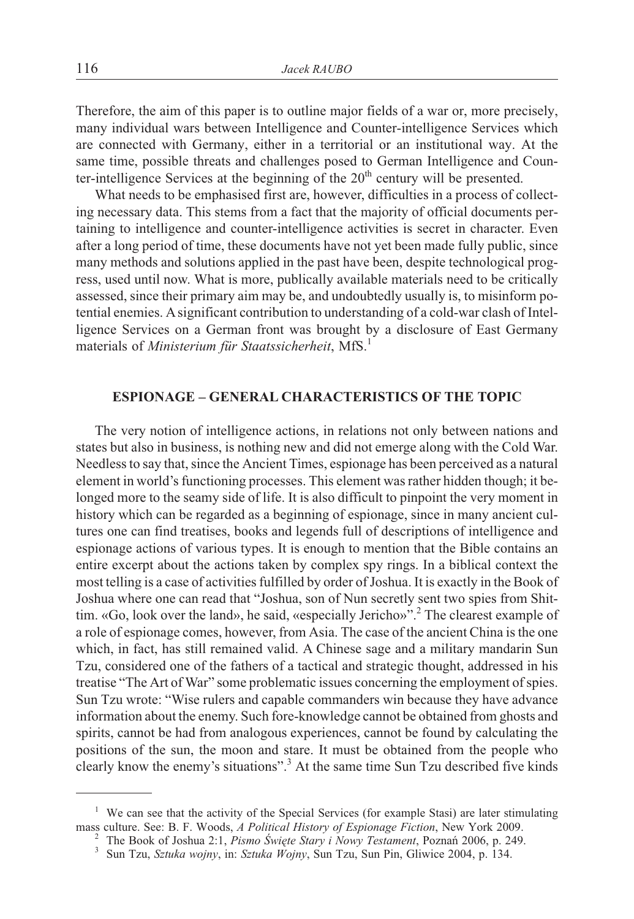Therefore, the aim of this paper is to outline major fields of a war or, more precisely, many individual wars between Intelligence and Counter-intelligence Services which are connected with Germany, either in a territorial or an institutional way. At the same time, possible threats and challenges posed to German Intelligence and Counter-intelligence Services at the beginning of the  $20<sup>th</sup>$  century will be presented.

What needs to be emphasised first are, however, difficulties in a process of collecting necessary data. This stems from a fact that the majority of official documents pertaining to intelligence and counter-intelligence activities is secret in character. Even after a long period of time, these documents have not yet been made fully public, since many methods and solutions applied in the past have been, despite technological progress, used until now. What is more, publically available materials need to be critically assessed, since their primary aim may be, and undoubtedly usually is, to misinform potential enemies. Asignificant contribution to understanding of a cold-war clash of Intelligence Services on a German front was brought by a disclosure of East Germany materials of *Ministerium für Staatssicherheit*, MfS.<sup>1</sup>

## **ESPIONAGE – GENERAL CHARACTERISTICS OF THE TOPIC**

The very notion of intelligence actions, in relations not only between nations and states but also in business, is nothing new and did not emerge along with the Cold War. Needless to say that, since the Ancient Times, espionage has been perceived as a natural element in world's functioning processes. This element was rather hidden though; it belonged more to the seamy side of life. It is also difficult to pinpoint the very moment in history which can be regarded as a beginning of espionage, since in many ancient cultures one can find treatises, books and legends full of descriptions of intelligence and espionage actions of various types. It is enough to mention that the Bible contains an entire excerpt about the actions taken by complex spy rings. In a biblical context the most telling is a case of activities fulfilled by order of Joshua. It is exactly in the Book of Joshua where one can read that "Joshua, son of Nun secretly sent two spies from Shittim. «Go, look over the land», he said, «especially Jericho»".<sup>2</sup> The clearest example of a role of espionage comes, however, from Asia. The case of the ancient China is the one which, in fact, has still remained valid. A Chinese sage and a military mandarin Sun Tzu, considered one of the fathers of a tactical and strategic thought, addressed in his treatise "The Art of War" some problematic issues concerning the employment of spies. Sun Tzu wrote: "Wise rulers and capable commanders win because they have advance information about the enemy. Such fore-knowledge cannot be obtained from ghosts and spirits, cannot be had from analogous experiences, cannot be found by calculating the positions of the sun, the moon and stare. It must be obtained from the people who clearly know the enemy's situations".<sup>3</sup> At the same time Sun Tzu described five kinds

<sup>&</sup>lt;sup>1</sup> We can see that the activity of the Special Services (for example Stasi) are later stimulating mass culture. See: B. F. Woods, *A Political History of Espionage Fiction*, New York 2009.

<sup>&</sup>lt;sup>2</sup> The Book of Joshua 2:1, *Pismo Święte Stary i Nowy Testament*, Poznań 2006, p. 249.<br><sup>3</sup> Sun Tzu, *Sztuka wojny*, in: *Sztuka Wojny*, Sun Tzu, Sun Pin, Gliwice 2004, p. 134.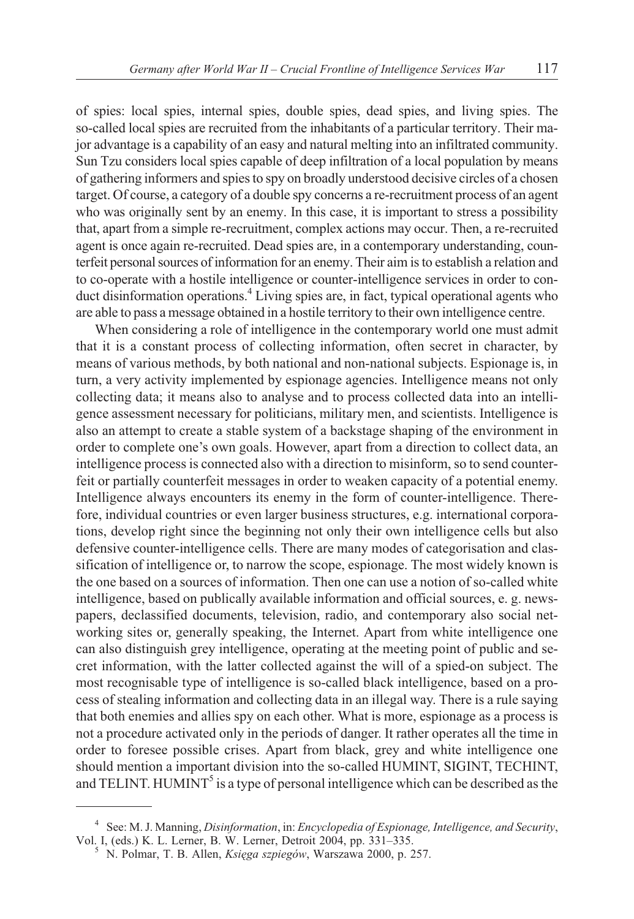of spies: local spies, internal spies, double spies, dead spies, and living spies. The so-called local spies are recruited from the inhabitants of a particular territory. Their major advantage is a capability of an easy and natural melting into an infiltrated community. Sun Tzu considers local spies capable of deep infiltration of a local population by means of gathering informers and spies to spy on broadly understood decisive circles of a chosen target. Of course, a category of a double spy concerns a re-recruitment process of an agent who was originally sent by an enemy. In this case, it is important to stress a possibility that, apart from a simple re-recruitment, complex actions may occur. Then, a re-recruited agent is once again re-recruited. Dead spies are, in a contemporary understanding, counterfeit personal sources of information for an enemy. Their aim is to establish a relation and to co-operate with a hostile intelligence or counter-intelligence services in order to conduct disinformation operations.<sup>4</sup> Living spies are, in fact, typical operational agents who are able to pass a message obtained in a hostile territory to their own intelligence centre.

When considering a role of intelligence in the contemporary world one must admit that it is a constant process of collecting information, often secret in character, by means of various methods, by both national and non-national subjects. Espionage is, in turn, a very activity implemented by espionage agencies. Intelligence means not only collecting data; it means also to analyse and to process collected data into an intelligence assessment necessary for politicians, military men, and scientists. Intelligence is also an attempt to create a stable system of a backstage shaping of the environment in order to complete one's own goals. However, apart from a direction to collect data, an intelligence process is connected also with a direction to misinform, so to send counterfeit or partially counterfeit messages in order to weaken capacity of a potential enemy. Intelligence always encounters its enemy in the form of counter-intelligence. Therefore, individual countries or even larger business structures, e.g. international corporations, develop right since the beginning not only their own intelligence cells but also defensive counter-intelligence cells. There are many modes of categorisation and classification of intelligence or, to narrow the scope, espionage. The most widely known is the one based on a sources of information. Then one can use a notion of so-called white intelligence, based on publically available information and official sources, e. g. newspapers, declassified documents, television, radio, and contemporary also social networking sites or, generally speaking, the Internet. Apart from white intelligence one can also distinguish grey intelligence, operating at the meeting point of public and secret information, with the latter collected against the will of a spied-on subject. The most recognisable type of intelligence is so-called black intelligence, based on a process of stealing information and collecting data in an illegal way. There is a rule saying that both enemies and allies spy on each other. What is more, espionage as a process is not a procedure activated only in the periods of danger. It rather operates all the time in order to foresee possible crises. Apart from black, grey and white intelligence one should mention a important division into the so-called HUMINT, SIGINT, TECHINT, and TELINT. HUMINT<sup>5</sup> is a type of personal intelligence which can be described as the

<sup>4</sup> See: M. J. Manning, *Disinformation*, in: *Encyclopedia of Espionage, Intelligence, and Security*,

<sup>&</sup>lt;sup>5</sup> N. Polmar, T. B. Allen, *Księga szpiegów*, Warszawa 2000, p. 257.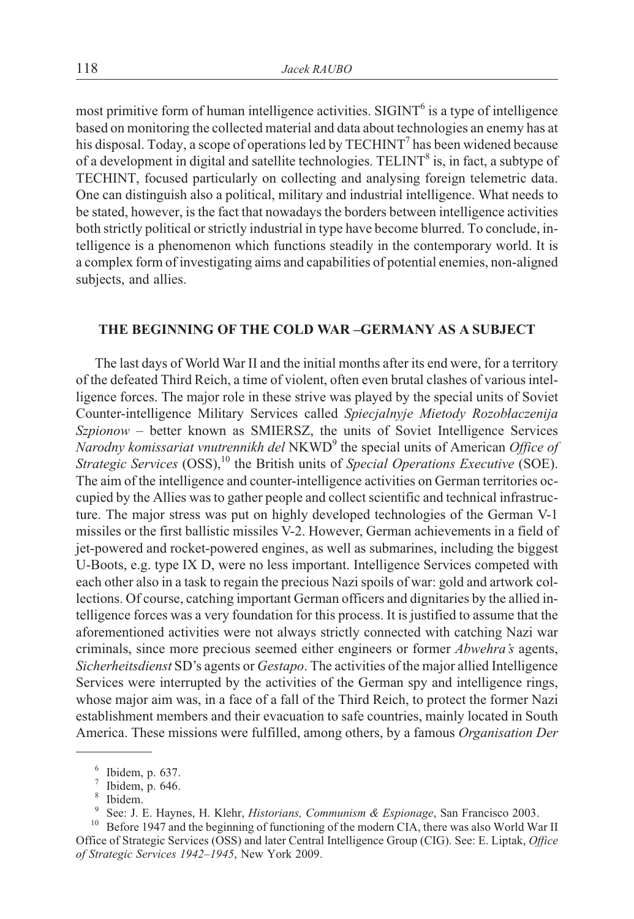most primitive form of human intelligence activities.  $SIGHT<sup>6</sup>$  is a type of intelligence based on monitoring the collected material and data about technologies an enemy has at his disposal. Today, a scope of operations led by TECHINT<sup>7</sup> has been widened because of a development in digital and satellite technologies. TELINT<sup>8</sup> is, in fact, a subtype of TECHINT, focused particularly on collecting and analysing foreign telemetric data. One can distinguish also a political, military and industrial intelligence. What needs to be stated, however, is the fact that nowadays the borders between intelligence activities both strictly political or strictly industrial in type have become blurred. To conclude, intelligence is a phenomenon which functions steadily in the contemporary world. It is a complex form of investigating aims and capabilities of potential enemies, non-aligned subjects, and allies.

#### **THE BEGINNING OF THE COLD WAR –GERMANY AS A SUBJECT**

The last days of World War II and the initial months after its end were, for a territory of the defeated Third Reich, a time of violent, often even brutal clashes of various intelligence forces. The major role in these strive was played by the special units of Soviet Counter-intelligence Military Services called *Spiecjalnyje Mietody Rozobłaczenija Szpionow* – better known as SMIERSZ, the units of Soviet Intelligence Services *Narodny komissariat vnutrennikh del* NKWD9 the special units of American *Office of Strategic Services* (OSS),<sup>10</sup> the British units of *Special Operations Executive* (SOE). The aim of the intelligence and counter-intelligence activities on German territories occupied by the Allies was to gather people and collect scientific and technical infrastructure. The major stress was put on highly developed technologies of the German V-1 missiles or the first ballistic missiles V-2. However, German achievements in a field of jet-powered and rocket-powered engines, as well as submarines, including the biggest U-Boots, e.g. type IX D, were no less important. Intelligence Services competed with each other also in a task to regain the precious Nazi spoils of war: gold and artwork collections. Of course, catching important German officers and dignitaries by the allied intelligence forces was a very foundation for this process. It is justified to assume that the aforementioned activities were not always strictly connected with catching Nazi war criminals, since more precious seemed either engineers or former *Abwehra's* agents, *Sicherheitsdienst* SD's agents or *Gestapo*. The activities of the major allied Intelligence Services were interrupted by the activities of the German spy and intelligence rings, whose major aim was, in a face of a fall of the Third Reich, to protect the former Nazi establishment members and their evacuation to safe countries, mainly located in South America. These missions were fulfilled, among others, by a famous *Organisation Der*

<sup>&</sup>lt;sup>6</sup> Ibidem, p. 637.<br>
<sup>7</sup> Ibidem, p. 646.<br>
<sup>8</sup> Ibidem.<br>
<sup>9</sup> See: J. E. Haynes, H. Klehr, *Historians, Communism & Espionage*, San Francisco 2003.<br>
<sup>10</sup> Before 1947 and the beginning of functioning of the modern CIA, there

Office of Strategic Services (OSS) and later Central Intelligence Group (CIG). See: E. Liptak, *Office of Strategic Services 1942–1945*, New York 2009.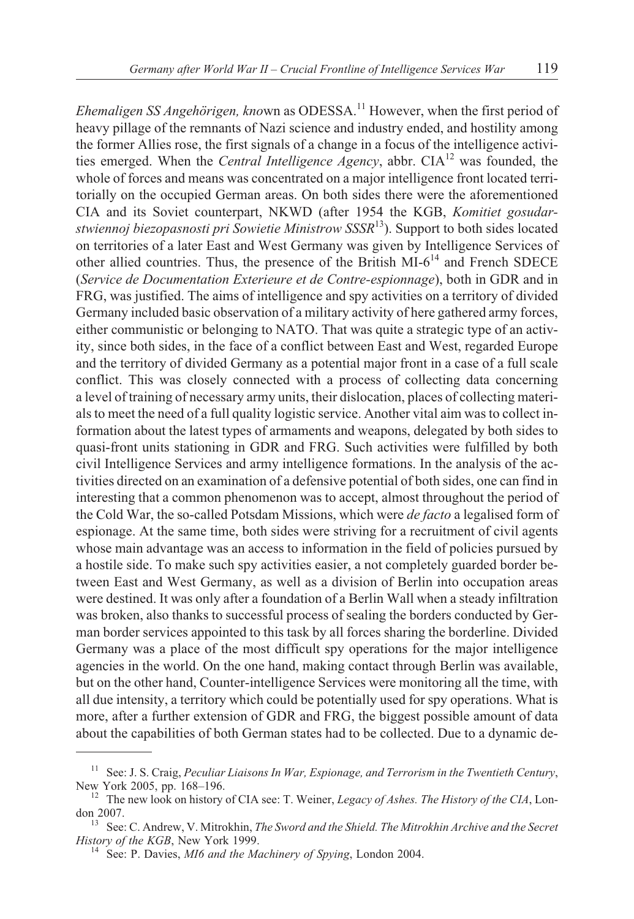*Ehemaligen SS Angehörigen, known as ODESSA*.<sup>11</sup> However, when the first period of heavy pillage of the remnants of Nazi science and industry ended, and hostility among

the former Allies rose, the first signals of a change in a focus of the intelligence activities emerged. When the *Central Intelligence Agency*, abbr. CIA<sup>12</sup> was founded, the whole of forces and means was concentrated on a major intelligence front located territorially on the occupied German areas. On both sides there were the aforementioned CIA and its Soviet counterpart, NKWD (after 1954 the KGB, *Komitiet gosudarstwiennoj biezopasnosti pri Sowietie Ministrow SSSR*13). Support to both sides located on territories of a later East and West Germany was given by Intelligence Services of other allied countries. Thus, the presence of the British  $\overline{M1-6}^{14}$  and French SDECE (*Service de Documentation Exterieure et de Contre-espionnage*), both in GDR and in FRG, was justified. The aims of intelligence and spy activities on a territory of divided Germany included basic observation of a military activity of here gathered army forces, either communistic or belonging to NATO. That was quite a strategic type of an activity, since both sides, in the face of a conflict between East and West, regarded Europe and the territory of divided Germany as a potential major front in a case of a full scale conflict. This was closely connected with a process of collecting data concerning a level of training of necessary army units, their dislocation, places of collecting materials to meet the need of a full quality logistic service. Another vital aim was to collect information about the latest types of armaments and weapons, delegated by both sides to quasi-front units stationing in GDR and FRG. Such activities were fulfilled by both civil Intelligence Services and army intelligence formations. In the analysis of the activities directed on an examination of a defensive potential of both sides, one can find in interesting that a common phenomenon was to accept, almost throughout the period of the Cold War, the so-called Potsdam Missions, which were *de facto* a legalised form of espionage. At the same time, both sides were striving for a recruitment of civil agents whose main advantage was an access to information in the field of policies pursued by a hostile side. To make such spy activities easier, a not completely guarded border between East and West Germany, as well as a division of Berlin into occupation areas were destined. It was only after a foundation of a Berlin Wall when a steady infiltration was broken, also thanks to successful process of sealing the borders conducted by German border services appointed to this task by all forces sharing the borderline. Divided Germany was a place of the most difficult spy operations for the major intelligence agencies in the world. On the one hand, making contact through Berlin was available, but on the other hand, Counter-intelligence Services were monitoring all the time, with all due intensity, a territory which could be potentially used for spy operations. What is more, after a further extension of GDR and FRG, the biggest possible amount of data about the capabilities of both German states had to be collected. Due to a dynamic de-

<sup>&</sup>lt;sup>11</sup> See: J. S. Craig, *Peculiar Liaisons In War, Espionage, and Terrorism in the Twentieth Century*, New York 2005, pp. 168–196.

<sup>&</sup>lt;sup>12</sup> The new look on history of CIA see: T. Weiner, *Legacy of Ashes. The History of the CIA*, Lon-

don 2007.<br><sup>13</sup> See: C. Andrew, V. Mitrokhin, *The Sword and the Shield. The Mitrokhin Archive and the Secret*<br>*History of the KGB*, New York 1999.

<sup>&</sup>lt;sup>14</sup> See: P. Davies, *MI6 and the Machinery of Spying*, London 2004.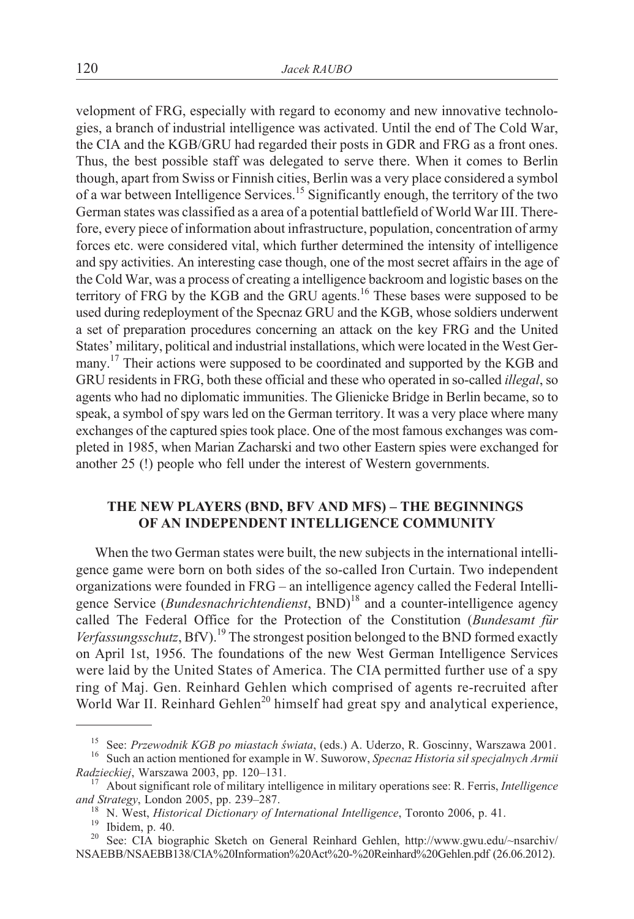velopment of FRG, especially with regard to economy and new innovative technologies, a branch of industrial intelligence was activated. Until the end of The Cold War, the CIA and the KGB/GRU had regarded their posts in GDR and FRG as a front ones. Thus, the best possible staff was delegated to serve there. When it comes to Berlin though, apart from Swiss or Finnish cities, Berlin was a very place considered a symbol of a war between Intelligence Services.<sup>15</sup> Significantly enough, the territory of the two German states was classified as a area of a potential battlefield of World War III. Therefore, every piece of information about infrastructure, population, concentration of army forces etc. were considered vital, which further determined the intensity of intelligence and spy activities. An interesting case though, one of the most secret affairs in the age of the Cold War, was a process of creating a intelligence backroom and logistic bases on the territory of FRG by the KGB and the GRU agents.<sup>16</sup> These bases were supposed to be used during redeployment of the Specnaz GRU and the KGB, whose soldiers underwent a set of preparation procedures concerning an attack on the key FRG and the United States' military, political and industrial installations, which were located in the West Germany.<sup>17</sup> Their actions were supposed to be coordinated and supported by the KGB and GRU residents in FRG, both these official and these who operated in so-called *illegal*, so agents who had no diplomatic immunities. The Glienicke Bridge in Berlin became, so to speak, a symbol of spy wars led on the German territory. It was a very place where many exchanges of the captured spies took place. One of the most famous exchanges was completed in 1985, when Marian Zacharski and two other Eastern spies were exchanged for another 25 (!) people who fell under the interest of Western governments.

## **THE NEW PLAYERS (BND, BFV AND MFS) – THE BEGINNINGS OF AN INDEPENDENT INTELLIGENCE COMMUNITY**

When the two German states were built, the new subjects in the international intelligence game were born on both sides of the so-called Iron Curtain. Two independent organizations were founded in FRG – an intelligence agency called the Federal Intelligence Service (*Bundesnachrichtendienst*, BND)<sup>18</sup> and a counter-intelligence agency called The Federal Office for the Protection of the Constitution (*Bundesamt für* Verfassungsschutz, BfV).<sup>19</sup> The strongest position belonged to the BND formed exactly on April 1st, 1956. The foundations of the new West German Intelligence Services were laid by the United States of America. The CIA permitted further use of a spy ring of Maj. Gen. Reinhard Gehlen which comprised of agents re-recruited after World War II. Reinhard Gehlen<sup>20</sup> himself had great spy and analytical experience,

<sup>&</sup>lt;sup>15</sup> See: *Przewodnik KGB po miastach świata*, (eds.) A. Uderzo, R. Goscinny, Warszawa 2001.<br><sup>16</sup> Such an action mentioned for example in W. Suworow, *Specnaz Historia sił specjalnych Armii Radzieckiej*, Warszawa 2003, pp. 120–131. <sup>17</sup> About significant role of military intelligence in military operations see: R. Ferris, *Intelligence*

and Strategy, London 2005, pp. 239–287.<br><sup>18</sup> N. West, *Historical Dictionary of International Intelligence*, Toronto 2006, p. 41.<br><sup>19</sup> Ibidem, p. 40.<br><sup>20</sup> See: CIA biographic Sketch on General Reinhard Gehlen, http://www.g

NSAEBB/NSAEBB138/CIA%20Information%20Act%20-%20Reinhard%20Gehlen.pdf (26.06.2012).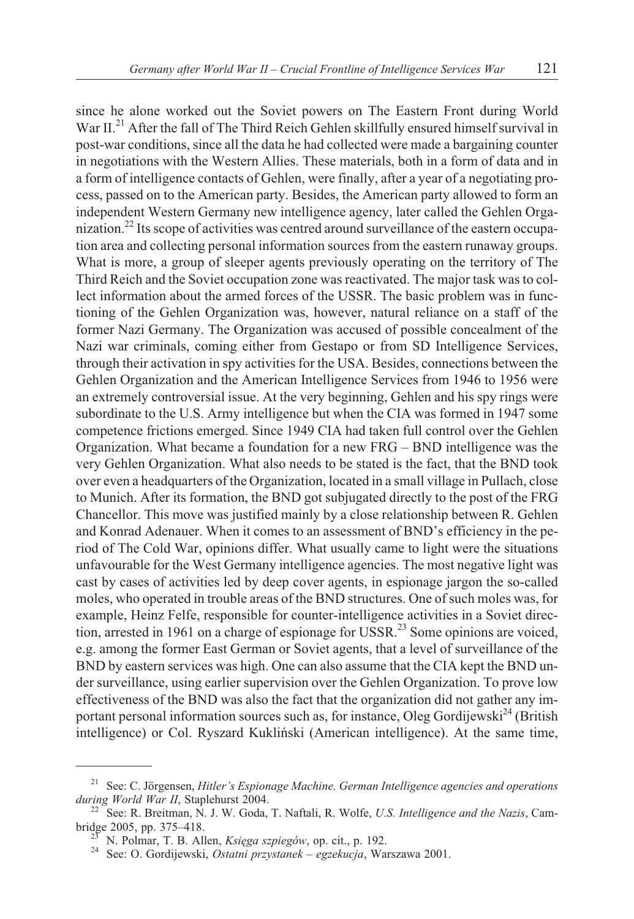since he alone worked out the Soviet powers on The Eastern Front during World War II.<sup>21</sup> After the fall of The Third Reich Gehlen skillfully ensured himself survival in post-war conditions, since all the data he had collected were made a bargaining counter in negotiations with the Western Allies. These materials, both in a form of data and in a form of intelligence contacts of Gehlen, were finally, after a year of a negotiating process, passed on to the American party. Besides, the American party allowed to form an independent Western Germany new intelligence agency, later called the Gehlen Organization.<sup>22</sup> Its scope of activities was centred around surveillance of the eastern occupation area and collecting personal information sources from the eastern runaway groups. What is more, a group of sleeper agents previously operating on the territory of The Third Reich and the Soviet occupation zone was reactivated. The major task was to collect information about the armed forces of the USSR. The basic problem was in functioning of the Gehlen Organization was, however, natural reliance on a staff of the former Nazi Germany. The Organization was accused of possible concealment of the Nazi war criminals, coming either from Gestapo or from SD Intelligence Services, through their activation in spy activities for the USA. Besides, connections between the Gehlen Organization and the American Intelligence Services from 1946 to 1956 were an extremely controversial issue. At the very beginning, Gehlen and his spy rings were subordinate to the U.S. Army intelligence but when the CIA was formed in 1947 some competence frictions emerged. Since 1949 CIA had taken full control over the Gehlen Organization. What became a foundation for a new FRG – BND intelligence was the very Gehlen Organization. What also needs to be stated is the fact, that the BND took over even a headquarters of the Organization, located in a small village in Pullach, close to Munich. After its formation, the BND got subjugated directly to the post of the FRG Chancellor. This move was justified mainly by a close relationship between R. Gehlen and Konrad Adenauer. When it comes to an assessment of BND's efficiency in the period of The Cold War, opinions differ. What usually came to light were the situations unfavourable for the West Germany intelligence agencies. The most negative light was cast by cases of activities led by deep cover agents, in espionage jargon the so-called moles, who operated in trouble areas of the BND structures. One of such moles was, for example, Heinz Felfe, responsible for counter-intelligence activities in a Soviet direction, arrested in 1961 on a charge of espionage for USSR.<sup>23</sup> Some opinions are voiced, e.g. among the former East German or Soviet agents, that a level of surveillance of the BND by eastern services was high. One can also assume that the CIA kept the BND under surveillance, using earlier supervision over the Gehlen Organization. To prove low effectiveness of the BND was also the fact that the organization did not gather any important personal information sources such as, for instance, Oleg Gordijewski<sup>24</sup> (British

intelligence) or Col. Ryszard Kukliñski (American intelligence). At the same time,

<sup>21</sup> See: C. Jörgensen, *Hitler's Espionage Machine. German Intelligence agencies and operations*

<sup>&</sup>lt;sup>22</sup> See: R. Breitman, N. J. W. Goda, T. Naftali, R. Wolfe, *U.S. Intelligence and the Nazis*, Cambridge 2005, pp. 375–418. <sup>23</sup> N. Polmar, T. B. Allen, *Ksiêga szpiegów*, op. cit., p. 192. <sup>24</sup> See: O. Gordijewski, *Ostatni przystanek – egzekucja*, Warszawa 2001.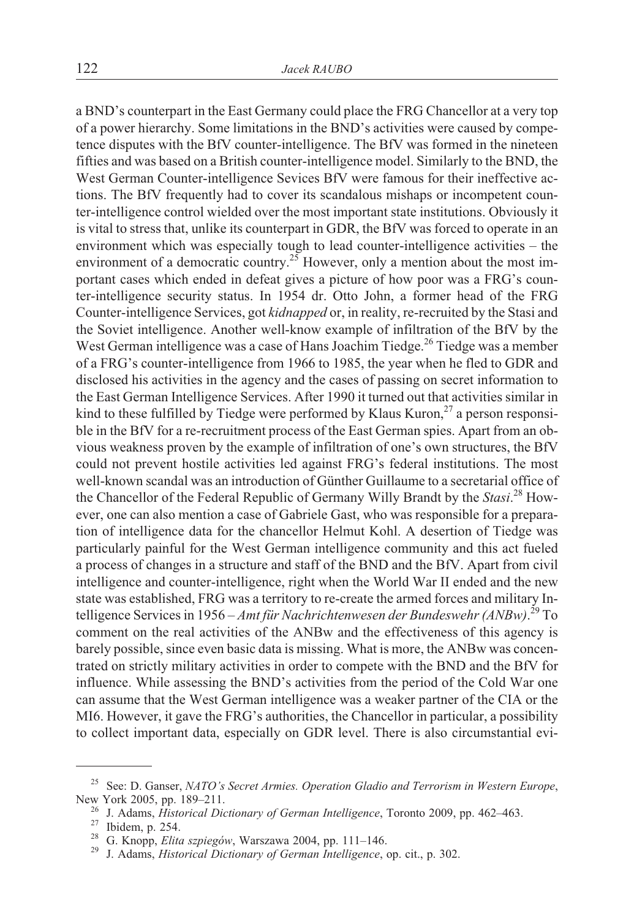a BND's counterpart in the East Germany could place the FRG Chancellor at a very top of a power hierarchy. Some limitations in the BND's activities were caused by competence disputes with the BfV counter-intelligence. The BfV was formed in the nineteen fifties and was based on a British counter-intelligence model. Similarly to the BND, the West German Counter-intelligence Sevices BfV were famous for their ineffective actions. The BfV frequently had to cover its scandalous mishaps or incompetent counter-intelligence control wielded over the most important state institutions. Obviously it is vital to stress that, unlike its counterpart in GDR, the BfV was forced to operate in an environment which was especially tough to lead counter-intelligence activities – the environment of a democratic country.<sup>25</sup> However, only a mention about the most important cases which ended in defeat gives a picture of how poor was a FRG's counter-intelligence security status. In 1954 dr. Otto John, a former head of the FRG Counter-intelligence Services, got *kidnapped* or, in reality, re-recruited by the Stasi and the Soviet intelligence. Another well-know example of infiltration of the BfV by the West German intelligence was a case of Hans Joachim Tiedge.<sup>26</sup> Tiedge was a member of a FRG's counter-intelligence from 1966 to 1985, the year when he fled to GDR and disclosed his activities in the agency and the cases of passing on secret information to the East German Intelligence Services. After 1990 it turned out that activities similar in kind to these fulfilled by Tiedge were performed by Klaus Kuron, $^{27}$  a person responsible in the BfV for a re-recruitment process of the East German spies. Apart from an obvious weakness proven by the example of infiltration of one's own structures, the BfV could not prevent hostile activities led against FRG's federal institutions. The most well-known scandal was an introduction of Günther Guillaume to a secretarial office of the Chancellor of the Federal Republic of Germany Willy Brandt by the *Stasi*. <sup>28</sup> However, one can also mention a case of Gabriele Gast, who was responsible for a preparation of intelligence data for the chancellor Helmut Kohl. A desertion of Tiedge was particularly painful for the West German intelligence community and this act fueled a process of changes in a structure and staff of the BND and the BfV. Apart from civil intelligence and counter-intelligence, right when the World War II ended and the new state was established, FRG was a territory to re-create the armed forces and military Intelligence Services in 1956 – *Amt für Nachrichtenwesen der Bundeswehr (ANBw)*. <sup>29</sup> To comment on the real activities of the ANBw and the effectiveness of this agency is barely possible, since even basic data is missing. What is more, the ANBw was concentrated on strictly military activities in order to compete with the BND and the BfV for influence. While assessing the BND's activities from the period of the Cold War one can assume that the West German intelligence was a weaker partner of the CIA or the MI6. However, it gave the FRG's authorities, the Chancellor in particular, a possibility to collect important data, especially on GDR level. There is also circumstantial evi-

<sup>&</sup>lt;sup>25</sup> See: D. Ganser, *NATO's Secret Armies. Operation Gladio and Terrorism in Western Europe*, New York 2005, pp. 189–211.

<sup>&</sup>lt;sup>26</sup> J. Adams, *Historical Dictionary of German Intelligence*, Toronto 2009, pp. 462–463.<br><sup>27</sup> Ibidem, p. 254.<br><sup>28</sup> G. Knopp, *Elita szpiegów*, Warszawa 2004, pp. 111–146.<br><sup>29</sup> J. Adams, *Historical Dictionary of German I*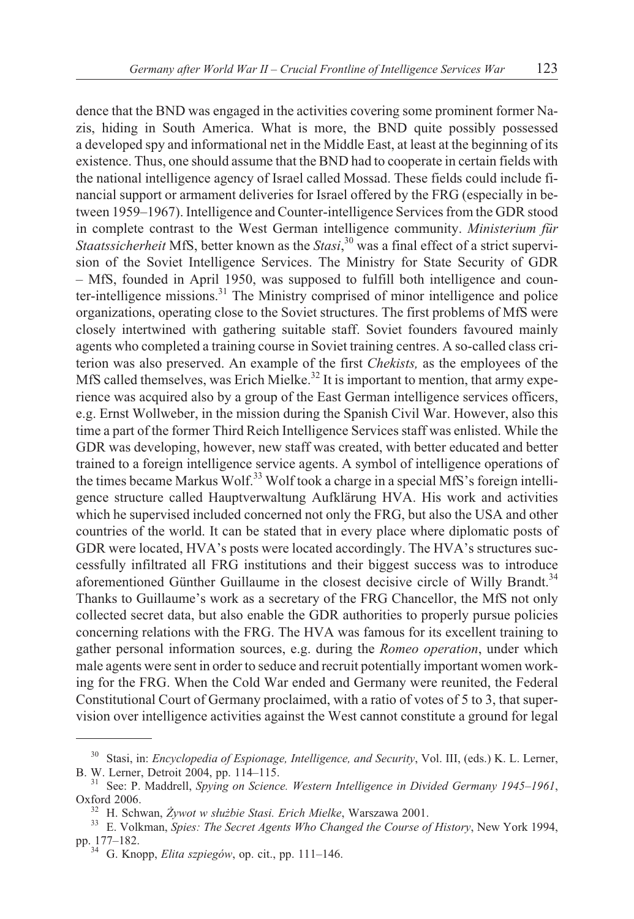dence that the BND was engaged in the activities covering some prominent former Nazis, hiding in South America. What is more, the BND quite possibly possessed a developed spy and informational net in the Middle East, at least at the beginning of its existence. Thus, one should assume that the BND had to cooperate in certain fields with the national intelligence agency of Israel called Mossad. These fields could include financial support or armament deliveries for Israel offered by the FRG (especially in between 1959–1967). Intelligence and Counter-intelligence Services from the GDR stood in complete contrast to the West German intelligence community. *Ministerium für Staatssicherheit* MfS, better known as the *Stasi*, <sup>30</sup> was a final effect of a strict supervision of the Soviet Intelligence Services. The Ministry for State Security of GDR – MfS, founded in April 1950, was supposed to fulfill both intelligence and counter-intelligence missions.<sup>31</sup> The Ministry comprised of minor intelligence and police organizations, operating close to the Soviet structures. The first problems of MfS were closely intertwined with gathering suitable staff. Soviet founders favoured mainly agents who completed a training course in Soviet training centres. A so-called class criterion was also preserved. An example of the first *Chekists,* as the employees of the MfS called themselves, was Erich Mielke.<sup>32</sup> It is important to mention, that army experience was acquired also by a group of the East German intelligence services officers, e.g. Ernst Wollweber, in the mission during the Spanish Civil War. However, also this time a part of the former Third Reich Intelligence Services staff was enlisted. While the GDR was developing, however, new staff was created, with better educated and better trained to a foreign intelligence service agents. A symbol of intelligence operations of the times became Markus Wolf.33 Wolf took a charge in a special MfS's foreign intelligence structure called Hauptverwaltung Aufklärung HVA. His work and activities which he supervised included concerned not only the FRG, but also the USA and other countries of the world. It can be stated that in every place where diplomatic posts of GDR were located, HVA's posts were located accordingly. The HVA's structures successfully infiltrated all FRG institutions and their biggest success was to introduce aforementioned Günther Guillaume in the closest decisive circle of Willy Brandt.<sup>34</sup> Thanks to Guillaume's work as a secretary of the FRG Chancellor, the MfS not only collected secret data, but also enable the GDR authorities to properly pursue policies concerning relations with the FRG. The HVA was famous for its excellent training to gather personal information sources, e.g. during the *Romeo operation*, under which male agents were sent in order to seduce and recruit potentially important women working for the FRG. When the Cold War ended and Germany were reunited, the Federal Constitutional Court of Germany proclaimed, with a ratio of votes of 5 to 3, that supervision over intelligence activities against the West cannot constitute a ground for legal

<sup>30</sup> Stasi, in: *Encyclopedia of Espionage, Intelligence, and Security*, Vol. III, (eds.) K. L. Lerner, B. W. Lerner, Detroit 2004, pp. 114–115. <sup>31</sup> See: P. Maddrell, *Spying on Science. Western Intelligence in Divided Germany 1945–1961*,

Oxford 2006. <sup>32</sup> H. Schwan, *¯ywot w s³u¿bie Stasi. Erich Mielke*, Warszawa 2001. <sup>33</sup> E. Volkman, *Spies: The Secret Agents Who Changed the Course of History*, New York 1994, pp. 177–182. <sup>34</sup> G. Knopp, *Elita szpiegów*, op. cit., pp. 111–146.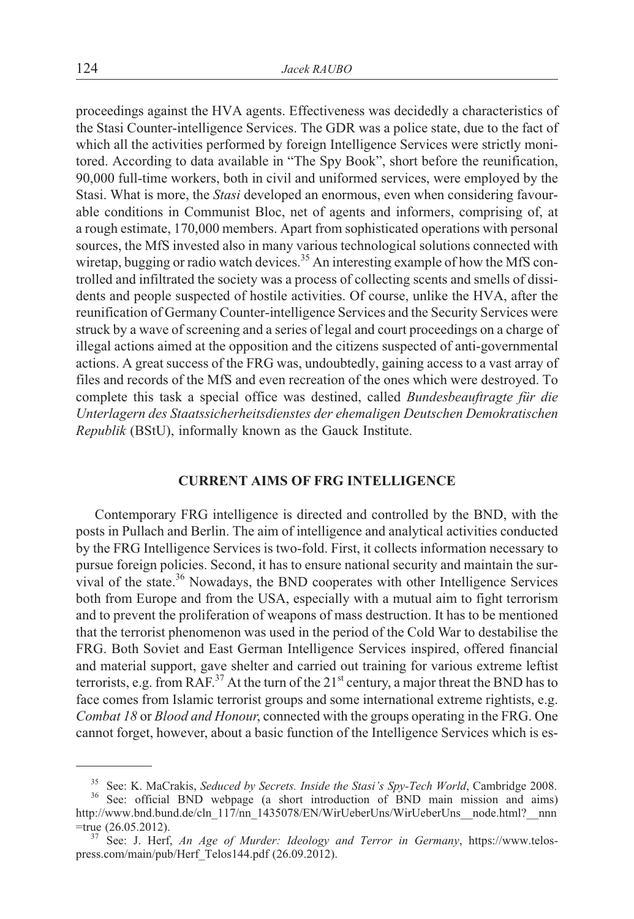proceedings against the HVA agents. Effectiveness was decidedly a characteristics of the Stasi Counter-intelligence Services. The GDR was a police state, due to the fact of which all the activities performed by foreign Intelligence Services were strictly monitored. According to data available in "The Spy Book", short before the reunification, 90,000 full-time workers, both in civil and uniformed services, were employed by the Stasi. What is more, the *Stasi* developed an enormous, even when considering favourable conditions in Communist Bloc, net of agents and informers, comprising of, at a rough estimate, 170,000 members. Apart from sophisticated operations with personal sources, the MfS invested also in many various technological solutions connected with wiretap, bugging or radio watch devices.<sup>35</sup> An interesting example of how the MfS controlled and infiltrated the society was a process of collecting scents and smells of dissidents and people suspected of hostile activities. Of course, unlike the HVA, after the reunification of Germany Counter-intelligence Services and the Security Services were struck by a wave of screening and a series of legal and court proceedings on a charge of illegal actions aimed at the opposition and the citizens suspected of anti-governmental actions. A great success of the FRG was, undoubtedly, gaining access to a vast array of files and records of the MfS and even recreation of the ones which were destroyed. To complete this task a special office was destined, called *Bundesbeauftragte für die Unterlagern des Staatssicherheitsdienstes der ehemaligen Deutschen Demokratischen Republik* (BStU), informally known as the Gauck Institute.

#### **CURRENT AIMS OF FRG INTELLIGENCE**

Contemporary FRG intelligence is directed and controlled by the BND, with the posts in Pullach and Berlin. The aim of intelligence and analytical activities conducted by the FRG Intelligence Services is two-fold. First, it collects information necessary to pursue foreign policies. Second, it has to ensure national security and maintain the survival of the state.<sup>36</sup> Nowadays, the BND cooperates with other Intelligence Services both from Europe and from the USA, especially with a mutual aim to fight terrorism and to prevent the proliferation of weapons of mass destruction. It has to be mentioned that the terrorist phenomenon was used in the period of the Cold War to destabilise the FRG. Both Soviet and East German Intelligence Services inspired, offered financial and material support, gave shelter and carried out training for various extreme leftist terrorists, e.g. from RAF.<sup>37</sup> At the turn of the  $21<sup>st</sup>$  century, a major threat the BND has to face comes from Islamic terrorist groups and some international extreme rightists, e.g. *Combat 18* or *Blood and Honour*, connected with the groups operating in the FRG. One cannot forget, however, about a basic function of the Intelligence Services which is es-

<sup>&</sup>lt;sup>35</sup> See: K. MaCrakis, *Seduced by Secrets. Inside the Stasi's Spy-Tech World*, Cambridge 2008.<br><sup>36</sup> See: official BND webpage (a short introduction of BND main mission and aims) http://www.bnd.bund.de/cln\_117/nn\_1435078/EN/WirUeberUns/WirUeberUns\_\_node.html?\_\_nnn

<sup>=</sup>true (26.05.2012). <sup>37</sup> See: J. Herf, *An Age of Murder: Ideology and Terror in Germany*, https://www.telospress.com/main/pub/Herf\_Telos144.pdf (26.09.2012).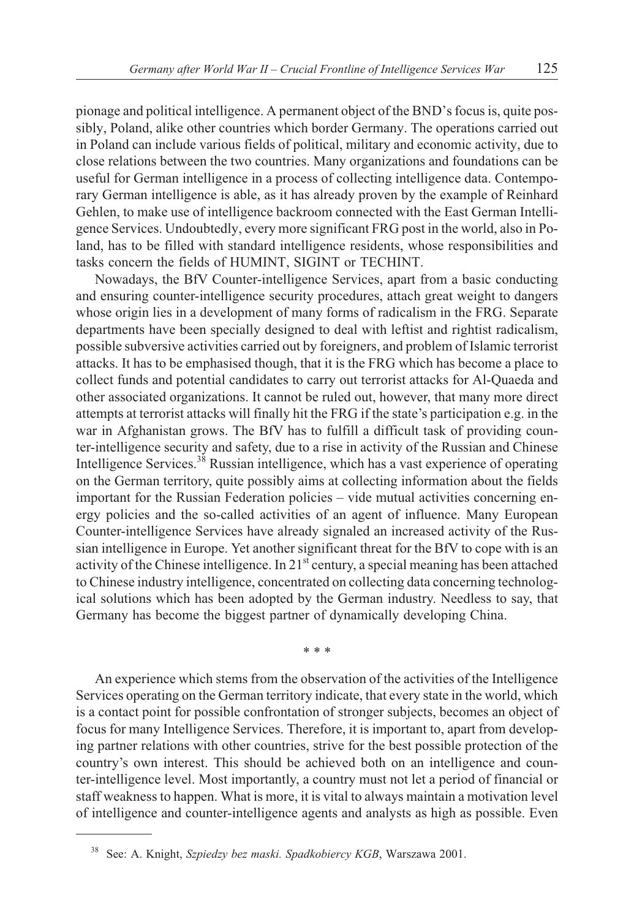pionage and political intelligence. A permanent object of the BND's focus is, quite possibly, Poland, alike other countries which border Germany. The operations carried out in Poland can include various fields of political, military and economic activity, due to close relations between the two countries. Many organizations and foundations can be useful for German intelligence in a process of collecting intelligence data. Contemporary German intelligence is able, as it has already proven by the example of Reinhard Gehlen, to make use of intelligence backroom connected with the East German Intelligence Services. Undoubtedly, every more significant FRG post in the world, also in Poland, has to be filled with standard intelligence residents, whose responsibilities and tasks concern the fields of HUMINT, SIGINT or TECHINT.

Nowadays, the BfV Counter-intelligence Services, apart from a basic conducting and ensuring counter-intelligence security procedures, attach great weight to dangers whose origin lies in a development of many forms of radicalism in the FRG. Separate departments have been specially designed to deal with leftist and rightist radicalism, possible subversive activities carried out by foreigners, and problem of Islamic terrorist attacks. It has to be emphasised though, that it is the FRG which has become a place to collect funds and potential candidates to carry out terrorist attacks for Al-Quaeda and other associated organizations. It cannot be ruled out, however, that many more direct attempts at terrorist attacks will finally hit the FRG if the state's participation e.g. in the war in Afghanistan grows. The BfV has to fulfill a difficult task of providing counter-intelligence security and safety, due to a rise in activity of the Russian and Chinese Intelligence Services.<sup>38</sup> Russian intelligence, which has a vast experience of operating on the German territory, quite possibly aims at collecting information about the fields important for the Russian Federation policies – vide mutual activities concerning energy policies and the so-called activities of an agent of influence. Many European Counter-intelligence Services have already signaled an increased activity of the Russian intelligence in Europe. Yet another significant threat for the BfV to cope with is an activity of the Chinese intelligence. In  $21<sup>st</sup>$  century, a special meaning has been attached to Chinese industry intelligence, concentrated on collecting data concerning technological solutions which has been adopted by the German industry. Needless to say, that Germany has become the biggest partner of dynamically developing China.

\*\*\*

An experience which stems from the observation of the activities of the Intelligence Services operating on the German territory indicate, that every state in the world, which is a contact point for possible confrontation of stronger subjects, becomes an object of focus for many Intelligence Services. Therefore, it is important to, apart from developing partner relations with other countries, strive for the best possible protection of the country's own interest. This should be achieved both on an intelligence and counter-intelligence level. Most importantly, a country must not let a period of financial or staff weakness to happen. What is more, it is vital to always maintain a motivation level of intelligence and counter-intelligence agents and analysts as high as possible. Even

<sup>38</sup> See: A. Knight, *Szpiedzy bez maski. Spadkobiercy KGB*, Warszawa 2001.